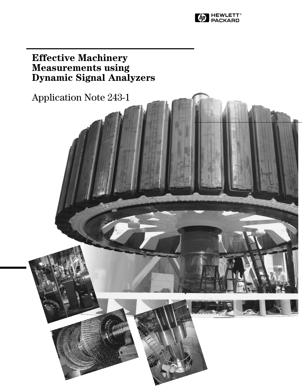

# **Effective Machinery Measurements using Dynamic Signal Analyzers**

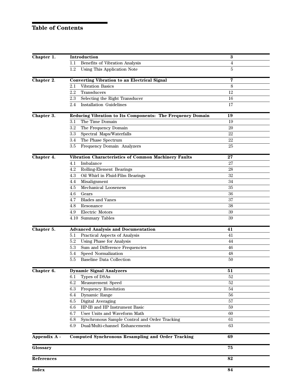### **Table of Contents**

| Chapter 1.   | Introduction                                               | $\bf{3}$   |
|--------------|------------------------------------------------------------|------------|
|              | Benefits of Vibration Analysis<br>1.1                      | 4          |
|              | 1.2<br>Using This Application Note                         | 5          |
| Chapter 2.   | <b>Converting Vibration to an Electrical Signal</b>        | 7          |
|              | Vibration Basics<br>$2.1\,$                                | 8          |
|              | 2.2<br>Transducers                                         | 12         |
|              | Selecting the Right Transducer<br>2.3                      | 16         |
|              | <b>Installation Guidelines</b><br>2.4                      | 17         |
| Chapter 3.   | Reducing Vibration to Its Components: The Frequency Domain | 19         |
|              | The Time Domain<br>3.1                                     | 19         |
|              | 3.2<br>The Frequency Domain                                | 20         |
|              | 3.3<br>Spectral Maps/Waterfalls                            | 22         |
|              | The Phase Spectrum<br>3.4                                  | 22         |
|              | Frequency Domain Analyzers<br>3.5                          | 25         |
| Chapter 4.   | Vibration Characteristics of Common Machinery Faults       | 27         |
|              | Imbalance<br>4.1                                           | 27         |
|              | 4.2<br>Rolling-Element Bearings                            | ${\bf 28}$ |
|              | 4.3<br>Oil Whirl in Fluid-Film Bearings                    | 32         |
|              | Misalignment<br>4.4                                        | 34         |
|              | Mechanical Looseness<br>4.5                                | 35         |
|              | 4.6<br>Gears                                               | 36         |
|              | <b>Blades and Vanes</b><br>4.7                             | 37         |
|              | 4.8<br>Resonance                                           | 38         |
|              | Electric Motors<br>4.9                                     | 39         |
|              | 4.10 Summary Tables                                        | 39         |
| Chapter 5.   | <b>Advanced Analysis and Documentation</b>                 | 41         |
|              | Practical Aspects of Analysis<br>5.1                       | 41         |
|              | 5.2<br>Using Phase for Analysis                            | 44         |
|              | 5.3<br>Sum and Difference Frequencies                      | 46         |
|              | Speed Normalization<br>5.4                                 | 48         |
|              | <b>Baseline Data Collection</b><br>5.5                     | 50         |
| Chapter 6.   | <b>Dynamic Signal Analyzers</b>                            | 51         |
|              | Types of DSAs<br>6.1                                       | 52         |
|              | 6.2<br>Measurement Speed                                   | 52         |
|              | 6.3<br>Frequency Resolution                                | 54         |
|              | Dynamic Range<br>6.4                                       | 56         |
|              | 6.5<br>Digital Averaging                                   | 57         |
|              | HP-IB and HP Instrument Basic<br>$6.6\,$                   | 59         |
|              | User Units and Waveform Math<br>6.7                        | 60         |
|              | Synchronous Sample Control and Order Tracking<br>6.8       | 61         |
|              | 6.9<br>Dual/Multi-channel Enhancements                     | 63         |
| Appendix A - | <b>Computed Synchronous Resampling and Order Tracking</b>  | 69         |
| Glossary     |                                                            | 75         |
| References   |                                                            | 82         |
| Index        |                                                            | 84         |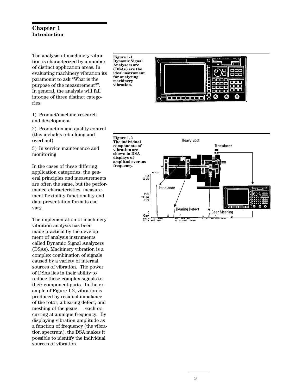### **Chapter 1 Introduction**

The analysis of machinery vibration is characterized by a number of distinct application areas. In evaluating machinery vibration its paramount to ask "What is the purpose of the measurement?". In general, the analysis will fall intoone of three distinct categories:

1) Product/machine research and development

2) Production and quality control (this includes rebuilding and overhaul)

3) In service maintenance and monitoring

In the cases of these differing application categories; the general principles and measurements are often the same, but the performance characteristics, measurement flexibility functionality and data presentation formats can vary.

The implementation of machinery vibration analysis has been made practical by the development of analysis instruments called Dynamic Signal Analyzers (DSAs). Machinery vibration is a complex combination of signals caused by a variety of internal sources of vibration. The power of DSAs lies in their ability to reduce these complex signals to their component parts. In the example of Figure 1-2, vibration is produced by residual imbalance of the rotor, a bearing defect, and meshing of the gears — each occurring at a unique frequency. By displaying vibration amplitude as a function of frequency (the vibration spectrum), the DSA makes it possible to identify the individual sources of vibration.

**Figure 1-1 Dynamic Signal Analysers are (DSAs) are the ideal instrument for analyzing machinery vibration.**



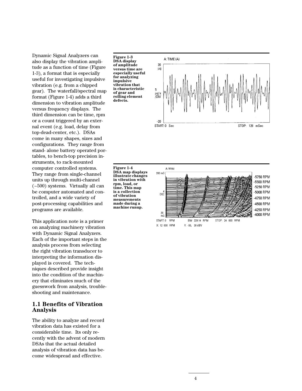Dynamic Signal Analyzers can also display the vibration amplitude as a function of time (Figure 1-3), a format that is especially useful for investigating impulsive vibration (e.g. from a chipped gear). The waterfall/spectral map format (Figure 1-4) adds a third dimension to vibration amplitude versus frequency displays. The third dimension can be time, rpm or a count triggered by an external event (e.g. load, delay from top-dead-center, etc.). DSAs come in many shapes, sizes and configurations. They range from stand- alone battery operated portables, to bench-top precision instruments, to rack-mounted computer controlled systems. They range from single-channel units up through multi-channel (~500) systems. Virtually all can be computer automated and controlled, and a wide variety of post-processing capabilities and programs are available.

This application note is a primer on analyzing machinery vibration with Dynamic Signal Analyzers. Each of the important steps in the analysis process from selecting the right vibration transducer to interpreting the information displayed is covered. The techniques described provide insight into the condition of the machinery that eliminates much of the guesswork from analysis, troubleshooting and maintenance.

### **1.1 Benefits of Vibration Analysis**

The ability to analyze and record vibration data has existed for a considerable time. Its only recently with the advent of modern DSAs that the actual detailed analysis of vibration data has become widespread and effective.





**Figure 1-4 DSA map displays illustrate changes in vibration with rpm, load, or time. This map is a collection of vibration measurements made during a machine runup.**

A: MAG 200 mG 5750 RPM 5500 RPM -5250 RPM -5000 RPM DEC 4750 RPM 4500 RPM 4250 RPM 20 4000 RPM mG START: 0 RPM BW 229.14 RPM STOP: 24 000 RPM X: 12 000 RPM Y: -55, 30 dBV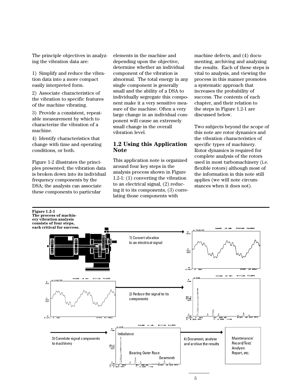The principle objectives in analyzing the vibration data are:

1) Simplify and reduce the vibration data into a more compact easily interpreted form.

2) Associate characteristics of the vibration to specific features of the machine vibrating.

3) Provide a consistent, repeatable measurement by which to characterize the vibration of a machine.

4) Identify characteristics that change with time and operating conditions, or both.

Figure 1-2 illustrates the principles presented; the vibration data is broken down into its individual frequency components by the DSA; the analysis can associate these components to particular

elements in the machine and depending upon the objective, determine whether an individual component of the vibration is abnormal. The total energy in any single component is generally small and the ability of a DSA to individually segregate this component make it a very sensitive measure of the machine. Often a very large change in an individual component will cause an extremely small change in the overall vibration level.

### **1.2 Using this Application Note**

This application note is organized around four key steps in the analysis process shown in Figure 1.2-1: (1) converting the vibration to an electrical signal, (2) reducing it to its components, (3) correlating those components with

machine defects, and (4) documenting, archiving and analyzing the results. Each of these steps is vital to analysis, and viewing the process in this manner promotes a systematic approach that increases the probability of success. The contents of each chapter, and their relation to the steps in Figure 1.2-1 are discussed below.

Two subjects beyond the scope of this note are rotor dynamics and the vibration characteristics of specific types of machinery. Rotor dynamics is required for complete analysis of the rotors used in most turbomachinery (i.e. flexible rotors) although most of the information in this note still applies (we will note circumstances when it does not).

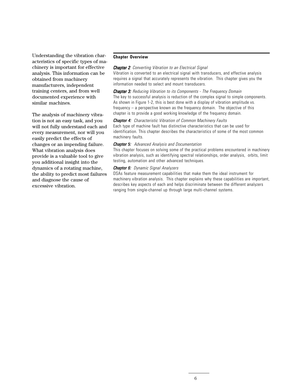Understanding the vibration characteristics of specific types of machinery is important for effective analysis. This information can be obtained from machinery manufacturers, independent training centers, and from well documented experience with similar machines.

The analysis of machinery vibration is not an easy task, and you will not fully understand each and every measurement, nor will you easily predict the effects of changes or an impending failure. What vibration analysis does provide is a valuable tool to give you additional insight into the dynamics of a rotating machine, the ability to predict most failures and diagnose the cause of excessive vibration.

#### **Chapter Overview**

#### **Chapter 2:** Converting Vibration to an Electrical Signal

Vibration is converted to an electrical signal with transducers, and effective analysis requires a signal that accurately represents the vibration. This chapter gives you the information needed to select and mount transducers.

**Chapter 3:** Reducing Vibration to its Components - The Frequency Domain The key to successful analysis is reduction of the complex signal to simple components. As shown in Figure 1-2, this is best done with a display of vibration amplitude vs. frequency – a perspective known as the frequency domain. The objective of this chapter is to provide a good working knowledge of the frequency domain.

#### **Chapter 4:** Characteristic Vibration of Common Machinery Faults

Each type of machine fault has distinctive characteristics that can be used for identification. This chapter describes the characteristics of some of the most common machinery faults.

#### Chapter 5: Advanced Analysis and Documentation

This chapter focuses on solving some of the practical problems encountered in machinery vibration analysis, such as identifying spectral relationships, order analysis, orbits, limit testing, automation and other advanced techniques.

### Chapter 6: Dynamic Signal Analyzers

DSAs feature measurement capabilities that make them the ideal instrument for machinery vibration analysis. This chapter explains why these capabilities are important, describes key aspects of each and helps discriminate between the different analyzers ranging from single-channel up through large multi-channel systems.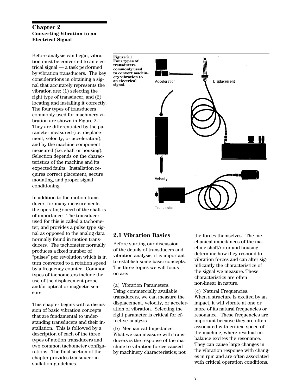### **Chapter 2 Converting Vibration to an Electrical Signal**

Before analysis can begin, vibration must be converted to an electrical signal — a task performed by vibration transducers. The key considerations in obtaining a signal that accurately represents the vibration are: (1) selecting the right type of transducer, and (2) locating and installing it correctly. The four types of transducers commonly used for machinery vibration are shown in Figure 2-1. They are differentiated by the parameter measured (i.e. displacement, velocity, or acceleration), and by the machine component measured (i.e. shaft or housing). Selection depends on the characteristics of the machine and its expected faults. Installation requires correct placement, secure mounting, and proper signal conditioning.

In addition to the motion transducer, for many measurements the operating speed of the shaft is of importance. The transducer used for this is called a tachometer; and provides a pulse type signal as opposed to the analog data normally found in motion transducers. The tachometer normally produces a fixed number of "pulses" per revolution which is in turn converted to a rotation speed by a frequency counter. Common types of tachometers include the use of the displacement probe and/or optical or magnetic sensors.

This chapter begins with a discussion of basic vibration concepts that are fundamental to understanding transducers and their installation. This is followed by a description of each of the three types of motion transducers and two common tachometer configurations. The final section of the chapter provides transducer installation guidelines.

**Figure 2.1 Four types of transducers commonly used to convert machinery vibration to an electrical signal.**



### **2.1 Vibration Basics**

Before starting our discussion of the details of transducers and vibration analysis, it is important to establish some basic concepts. The three topics we will focus on are:

(a) Vibration Parameters. Using commercially available transducers, we can measure the displacement, velocity, or acceleration of vibration. Selecting the right parameter is critical for effective analysis.

(b) Mechanical Impedance. What we can measure with transducers is the response of the machine to vibration forces caused by machinery characteristics; not the forces themselves. The mechanical impedances of the machine shaft/rotor and housing determine how they respond to vibration forces and can alter significantly the characteristics of the signal we measure. These characteristics are often non-linear in nature.

(c) Natural Frequencies. When a structure is excited by an impact, it will vibrate at one or more of its natural frequencies or resonance. These frequencies are important because they are often associated with critical speed of the machine, where residual imbalance excites the resonance. They can cause large changes in the vibration response with changes in rpm and are often associated with critical operation conditions.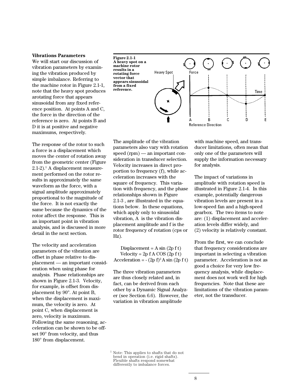#### **Vibrations Parameters**

We will start our discussion of vibration parameters by examining the vibration produced by simple imbalance. Referring to the machine rotor in Figure 2.1-1, note that the heavy spot produces arotating force that appears sinusoidal from any fixed reference position. At points A and C, the force in the direction of the reference is zero. At points B and D it is at positive and negative maximums, respectively.

The response of the rotor to such a force is a displacement which moves the center of rotation away from the geometric center (Figure 2.1-2).<sup>1</sup> A displacement measurement performed on the rotor results in approximately the same waveform as the force, with a signal amplitude approximately proportional to the magnitude of the force. It is not exactly the same because the dynamics of the rotor affect the response. This is an important point in vibration analysis, and is discussed in more detail in the next section.

The velocity and acceleration parameters of the vibration are offset in phase relative to displacement — an important consideration when using phase for analysis. Phase relationships are shown in Figure 2.1-3. Velocity, for example, is offset from displacement by 90°. At point B, when the displacement is maximum, the velocity is zero. At point C, when displacement is zero, velocity is maximum. Following the same reasoning, acceleration can be shown to be offset 90° from velocity, and thus 180° from displacement.





The amplitude of the vibration parameters also vary with rotation speed (rpm) — an important consideration in transducer selection. Velocity increases in direct proportion to frequency (f), while acceleration increases with the square of frequency. This variation with frequency, and the phase relationships shown in Figure 2.1-3 , are illustrated in the equations below. In these equations, which apply only to sinusoidal vibration, A is the vibration displacement amplitude and f is the rotor frequency of rotation (cps or Hz).

Displacement =  $A \sin(2p f t)$ Velocity =  $2p f A COS (2p f t)$ Acceleration =  $-(2p f)^2 A \sin (2p f t)$ 

The three vibration parameters are thus closely related and, in fact, can be derived from each other by a Dynamic Signal Analyzer (see Section 6.6). However, the variation in vibration amplitude

with machine speed, and transducer limitations, often mean that only one of the parameters will supply the information necessary for analysis.

The impact of variations in amplitude with rotation speed is illustrated in Figure 2.1-4. In this example, potentially dangerous vibration levels are present in a low-speed fan and a high-speed gearbox. The two items to note are: (1) displacement and acceleration levels differ widely, and (2) velocity is relatively constant.

From the first, we can conclude that frequency considerations are important in selecting a vibration parameter. Acceleration is not as good a choice for very low frequency analysis, while displacement does not work well for high frequencies. Note that these are limitations of the vibration parameter, not the transducer.

 $^{\rm 1}$  Note: This applies to shafts that do not bend in operation (i.e. rigid shafts). Flexible shafts respond somewhat differently to imbalance forces.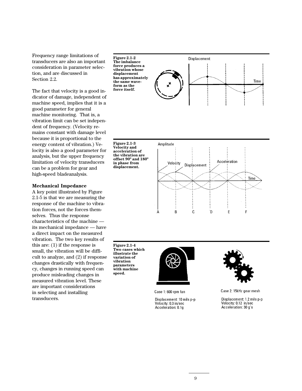Frequency range limitations of transducers are also an important consideration in parameter selection, and are discussed in Section 2.2.

The fact that velocity is a good indicator of damage, independent of machine speed, implies that it is a good parameter for general machine monitoring. That is, a vibration limit can be set independent of frequency. (Velocity remains constant with damage level because it is proportional to the energy content of vibration.) Velocity is also a good parameter for analysis, but the upper frequency limitation of velocity transducers can be a problem for gear and high-speed bladeanalysis.

### **Mechanical Impedance**

A key point illustrated by Figure 2.1-5 is that we are measuring the response of the machine to vibration forces, not the forces themselves. Thus the response characteristics of the machine its mechanical impedance — have a direct impact on the measured vibration. The two key results of this are: (1) if the response is small, the vibration will be difficult to analyze, and (2) if response changes drastically with frequency, changes in running speed can produce misleading changes in measured vibration level. These are important considerations in selecting and installing transducers.

**Figure 2.1-2 The imbalance force produces a vibration whose displacement has approximately the same waveform as the force itself.**



**Figure 2.1-3 Velocity and acceleration of the vibration are offset 90º and 180º in phase from displacement.**



**Figure 2.1-4 Two cases which illustrate the variation of vibration parameters with machine speed.**



Case 1:600 rpm fan

Displacement: 10 mils p-p Velocity: 0.3 in/sec Acceleration: 0.1g



Case 2: 15kHz gear mesh

Displacement: 1.2 mils p-p Velocity: 0.12 in/sec Acceleration: 30 g's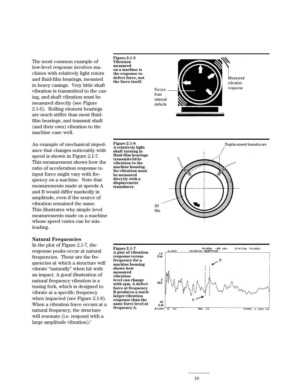The most common example of low-level response involves machines with relatively light rotors and fluid-film bearings, mounted in heavy casings. Very little shaft vibration is transmitted to the casing, and shaft vibration must be measured directly (see Figure 2.1-6). Rolling element bearings are much stiffer than most fluidfilm bearings, and transmit shaft (and their own) vibration to the machine case well.

An example of mechanical impedance that changes noticeably with speed is shown in Figure 2.1-7. This measurement shows how the ratio of acceleration response to input force might vary with frequency on a machine. Note that measurements made at speeds A and B would differ markedly in amplitude, even if the source of vibration remained the same. This illustrates why simple level measurements made on a machine whose speed varies can be misleading.

#### **Natural Frequencies**

In the plot of Figure 2.1-7, the response peaks occur at natural frequencies. These are the frequencies at which a structure will vibrate "naturally" when hit with an impact. A good illustration of natural frequency vibration is a tuning fork, which is designed to vibrate at a specific frequency when impacted (see Figure 2.1-8). When a vibration force occurs at a natural frequency, the structure will resonate (i.e. respond with a large amplitude vibration). $<sup>1</sup>$ </sup>



Measured vibration response Forces from internal defects

**Figure 2.1-6 A relatively light shaft turning in fluid-film bearings transmits little vibration to the machine housing. Its vibration must be measured directly with a displacement transducer.**



**Figure 2.1-7 A plot of vibration response versus frequency for a machine housing shows how measured vibration level can change with rpm. A defect force at frequency B produces a much larger vibration response than the same force level at frequency A.**

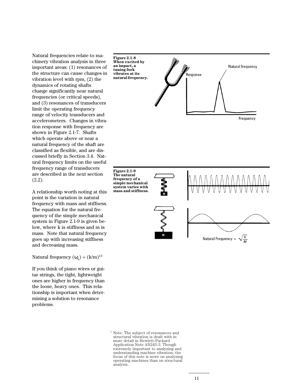Natural frequencies relate to machinery vibration analysis in three important areas: (1) resonances of the structure can cause changes in vibration level with rpm, (2) the dynamics of rotating shafts change significantly near natural frequencies (or critical speeds), and (3) resonances of transducers limit the operating frequency range of velocity transducers and accelerometers. Changes in vibration response with frequency are shown in Figure 2.1-7. Shafts which operate above or near a natural frequency of the shaft are classified as flexible, and are discussed briefly in Section 3.4. Natural frequency limits on the useful frequency range of transducers are described in the next section (2.2).

A relationship worth noting at this point is the variation in natural frequency with mass and stiffness. The equation for the natural frequency of the simple mechanical system in Figure 2.1-9 is given below, where k is stiffness and m is mass. Note that natural frequency goes up with increasing stiffness and decreasing mass.

Natural frequency  $(\omega_n) = (k/m)^{1/2}$ 

If you think of piano wires or guitar strings, the tight, lightweight ones are higher in frequency than the loose, heavy ones. This relationship is important when determining a solution to resonance problems.



**Figure 2.1-9 The natural frequency of a simple mechanical system varies with mass and stiffness.**



<sup>1</sup> Note: The subject of resonances and structural vibration is dealt with in more detail in Hewlett-Packard Application Note AN243-3. Though extremely important to analyzing and understanding machine vibration; the focus of this note is more on analyzing operating machines than on structural analysis.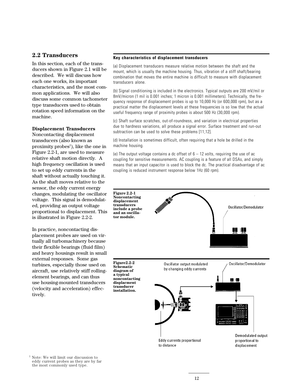### **2.2 Transducers**

In this section, each of the transducers shown in Figure 2.1 will be described. We will discuss how each one works, its important characteristics, and the most common applications. We will also discuss some common tachometer type transducers used to obtain rotation speed information on the machine.

#### **Displacement Transducers**

Noncontacting displacement transducers (also known as proximity probes<sup>1</sup>), like the one in Figure 2.2-1, are used to measure relative shaft motion directly. A high frequency oscillation is used to set up eddy currents in the shaft without actually touching it. As the shaft moves relative to the sensor, the eddy current energy changes, modulating the oscillator voltage. This signal is demodulated, providing an output voltage proportional to displacement. This is illustrated in Figure 2.2-2.

In practice, noncontacting displacement probes are used on virtually all turbomachinery because their flexible bearings (fluid film) and heavy housings result in small external responses. Some gas turbines, especially those used on aircraft, use relatively stiff rollingelement bearings, and can thus use housing-mounted transducers (velocity and acceleration) effectively.

#### **Key characteristics of displacement transducers**

(a) Displacement transducers measure relative motion between the shaft and the mount, which is usually the machine housing. Thus, vibration of a stiff shaft/bearing combination that moves the entire machine is difficult to measure with displacement transducers alone.

(b) Signal conditioning is included in the electronics. Typical outputs are 200 mV/mil or 8mV/micron (1 mil is 0.001 inches; 1 micron is 0.001 millimeters). Technically, the frequency response of displacement probes is up to 10,000 Hz (or 600,000 rpm), but as a practical matter the displacement levels at these frequencies is so low that the actual useful frequency range of proximity probes is about 500 Hz (30,000 rpm).

(c) Shaft surface scratches, out-of-roundness, and variation in electrical properties due to hardness variations, all produce a signal error. Surface treatment and run-out subtraction can be used to solve these problems [11,12].

(d) Installation is sometimes difficult, often requiring that a hole be drilled in the machine housing.

(e) The output voltage contains a dc offset of  $6 - 12$  volts, requiring the use of ac coupling for sensitive measurements. AC coupling is a feature of all DSAs, and simply means that an input capacitor is used to block the dc. The practical disadvantage of ac coupling is reduced instrument response below 1Hz (60 rpm).



<sup>1</sup> Note: We will limit our discussion to eddy current probes as they are by far the most commonly used type.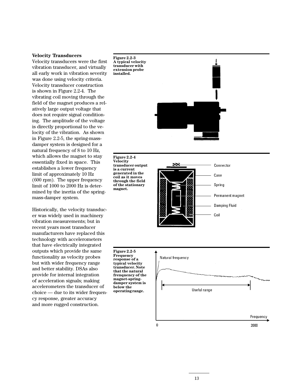#### **Velocity Transducers**

Velocity transducers were the first vibration transducer, and virtually all early work in vibration severity was done using velocity criteria. Velocity transducer construction is shown in Figure 2.2-4. The vibrating coil moving through the field of the magnet produces a relatively large output voltage that does not require signal conditioning. The amplitude of the voltage is directly proportional to the velocity of the vibration. As shown in Figure 2.2-5, the spring-massdamper system is designed for a natural frequency of 8 to 10 Hz, which allows the magnet to stay essentially fixed in space. This establishes a lower frequency limit of approximately 10 Hz (600 rpm). The upper frequency limit of 1000 to 2000 Hz is determined by the inertia of the springmass-damper system.

Historically, the velocity transducer was widely used in machinery vibration measurements; but in recent years most transducer manufacturers have replaced this technology with accelerometers that have electrically integrated outputs which provide the same functionality as velocity probes but with wider frequency range and better stability. DSAs also provide for internal integration of acceleration signals; making accelerometers the transducer of choice — due to its wider frequency response, greater accuracy and more rugged construction.

**Figure 2.2-3 A typical velocity transducer with extension probe installed.**



**Figure 2.2-4 Velocity transducer output is a current generated in the coil as it moves through the field of the stationary magnet.**



**Figure 2.2-5 Frequency response of a typical velocity transducer. Note that the natural frenquency of the magnet-springdamper system is below the operating range.**

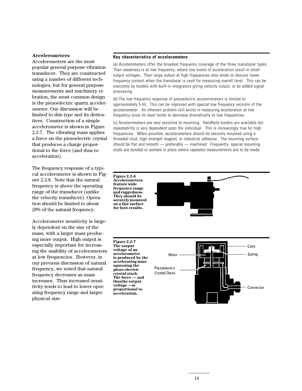#### **Accelerometers**

Accelerometers are the most popular general purpose vibration transducer. They are constructed using a number of different technologies, but for general purpose measurements and machinery vibration, the most common design is the piezoelectric quartz accelerometer. Our discussion will be limited to this type and its derivatives. Construction of a simple accelerometer is shown in Figure 2.2-7. The vibrating mass applies a force on the piezoelectric crystal that produces a charge proportional to the force (and thus to acceleration).

The frequency response of a typical accelerometer is shown in Figure 2.2-8. Note that the natural frequency is above the operating range of the transducer (unlike the velocity transducer). Operation should be limited to about 20% of the natural frequency.

Accelerometer sensitivity is largely dependent on the size of the mass, with a larger mass producing more output. High output is especially important for increasing the usability of accelerometers at low frequencies. However, in our previous discussion of natural frequency, we noted that natural frequency decreases as mass increases. Thus increased sensitivity tends to lead to lower operating frequency range and larger physical size.

#### **Key characteristics of accelerometers**

(a) Accelerometers offer the broadest frequency coverage of the three transducer types. Their weakness is at low frequency, where low levels of acceleration result in small output voltages. Their large output at high frequencies also tends to obscure lower frequency content when the transducer is used for measuring overall level. This can be overcome by models with built-in integrators giving velocity output, or by added signal processing.

(b) The low frequency response of piezoelectric accelerometers is limited to approximately 5 Hz. This can be improved with special low frequency versions of the accelerometer. An inherent problem still exists in measuring acceleration at low frequency since its level tends to decrease dramatically at low frequencies.

(c) Accelerometers are very sensitive to mounting. Handheld models are available but repeatability is very dependent upon the individual. This is increasingly true for high frequencies. When possible, accelerometers should be securely mounted using a threaded stud, high strength magnet, or industrial adhesive. The mounting surface should be flat and smooth — preferably — machined. Frequently, special mounting studs are bonded or welded in place where repeated measurements are to be made.



**accelerating mass squeezing the piezo-electric crystal stack. The force — and thusthe output voltage —is proportional to acceleration.**

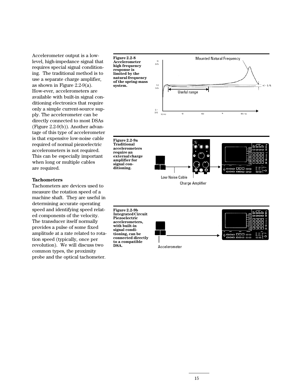Accelerometer output is a lowlevel, high-impedance signal that requires special signal conditioning. The traditional method is to use a separate charge amplifier, as shown in Figure 2.2-9(a). How-ever, accelerometers are available with built-in signal conditioning electronics that require only a simple current-source supply. The accelerometer can be directly connected to most DSAs (Figure 2.2-9(b)). Another advantage of this type of accelerometer is that expensive low-noise cable required of normal piezoelectric accelerometers is not required. This can be especially important when long or multiple cables are required.

#### **Tachometers**

Tachometers are devices used to measure the rotation speed of a machine shaft. They are useful in determining accurate operating speed and identifying speed related components of the velocity. The transducer itself normally provides a pulse of some fixed amplitude at a rate related to rotation speed (typically, once per revolution). We will discuss two common types, the proximity probe and the optical tachometer.



Accelerometer

**DSA.**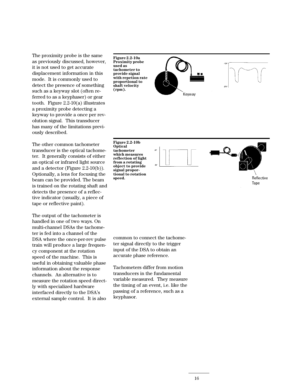The proximity probe is the same as previously discussed, however, it is not used to get accurate displacement information in this mode. It is commonly used to detect the presence of something such as a keyway slot (often referred to as a keyphaser) or gear tooth. Figure 2.2-10(a) illustrates a proximity probe detecting a keyway to provide a once per revolution signal. This transducer has many of the limitations previously described.

The other common tachometer transducer is the optical tachometer. It generally consists of either an optical or infrared light source and a detector (Figure 2.2-10(b)). Optionally, a lens for focusing the beam can be provided. The beam is trained on the rotating shaft and detects the presence of a reflective indicator (usually, a piece of tape or reflective paint).

The output of the tachometer is handled in one of two ways. On multi-channel DSAs the tachometer is fed into a channel of the DSA where the once-per-rev pulse train will produce a large frequency component at the rotation speed of the machine. This is useful in obtaining valuable phase information about the response channels. An alternative is to measure the rotation speed directly with specialized hardware interfaced directly to the DSA's external sample control. It is also

**Figure 2.2-10a Proximity probe used as tachometer to provide signal with repetion rate proportional to shaft velocity (rpm).**





Keyway

**Figure 2.2-10b Optical tachometer which measures reflection of light from a rotating object to provide signal proportional to rotation speed.**



common to connect the tachometer signal directly to the trigger input of the DSA to obtain an accurate phase reference.

Tachometers differ from motion transducers in the fundamental variable measured. They measure the timing of an event, i.e. like the passing of a reference, such as a keyphasor.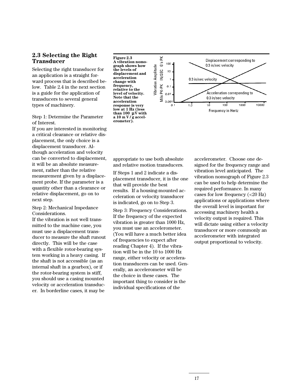### **2.3 Selecting the Right Transducer**

Selecting the right transducer for an application is a straight forward process that is described below. Table 2.4 in the next section is a guide for the application of transducers to several general types of machinery.

Step 1: Determine the Parameter of Interest.

If you are interested in monitoring a critical clearance or relative displacement, the only choice is a displacement transducer. Although acceleration and velocity can be converted to displacement, it will be an absolute measurement, rather than the relative measurement given by a displacement probe. If the parameter is a quantity other than a clearance or relative displacement, go on to next step.

Step 2: Mechanical Impedance Considerations.

If the vibration is not well transmitted to the machine case, you must use a displacement transducer to measure the shaft runout directly. This will be the case with a flexible rotor-bearing system working in a heavy casing. If the shaft is not accessible (as an internal shaft in a gearbox), or if the rotor-bearing system is stiff, you should use a casing mounted velocity or acceleration transducer. In borderline cases, it may be

**Figure 2.3 A vibration nomograph shows how the levels of displacement and acceleration change with frequency, relative to the level of velocity. Note that the acceleration response is very low at 1 Hz (less** than 100  $\mu \tilde{V}$  with **a 10 m V / g accelerometer).**



appropriate to use both absolute and relative motion transducers.

If Steps 1 and 2 indicate a displacement transducer, it is the one that will provide the best results. If a housing-mounted acceleration or velocity transducer is indicated, go on to Step 3.

Step 3: Frequency Considerations. If the frequency of the expected vibration is greater than 1000 Hz, you must use an accelerometer. (You will have a much better idea of frequencies to expect after reading Chapter 4). If the vibration will be in the 10 to 1000 Hz range, either velocity or acceleration transducers can be used. Generally, an accelerometer will be the choice in these cases. The important thing to consider is the individual specifications of the

accelerometer. Choose one designed for the frequency range and vibration level anticipated. The vibration nomograph of Figure 2.3 can be used to help determine the required performance. In many cases for low frequency (<20 Hz) applications or applications where the overall level is important for accessing machinery health a velocity output is required. This will dictate using either a velocity transducer or more commonly an accelerometer with integrated output proportional to velocity.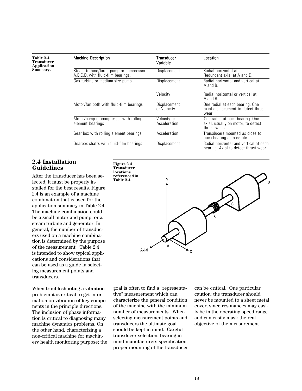| Table 2.4          |
|--------------------|
| Transducer         |
| <b>Application</b> |
| Summary.           |

| <b>Machine Description</b>                                                   | Transducer<br>Variable      | Location                                                                             |
|------------------------------------------------------------------------------|-----------------------------|--------------------------------------------------------------------------------------|
| Steam turbine/large pump or compressor<br>A.B.C.D. with fluid-film bearings. | Displacement                | Radial horizontal at<br>Redundant axial at A and D.                                  |
| Gas turbine or medium size pump                                              | <b>Displacement</b>         | Radial horizontal and vertical at<br>$A$ and $B$ .                                   |
|                                                                              | Velocity                    | Radial horizontal or vertical at<br>$A$ and $B$ .                                    |
| Motor/fan both with fluid-film bearings                                      | Displacement<br>or Velocity | One radial at each bearing. One<br>axial displacement to detect thrust<br>wear.      |
| Motor/pump or compressor with rolling<br>element bearings                    | Velocity or<br>Acceleration | One radial at each bearing. One<br>axial, usually on motor, to detect<br>thrust wear |
| Gear box with rolling element bearings                                       | Acceleration                | Transducers mounted as close to<br>each bearing as possible.                         |
| Gearbox shafts with fluid-film bearings                                      | Displacement                | Radial horizontal and vertical at each<br>bearing. Axial to detect thrust wear.      |

### **2.4 Installation Guidelines**

After the transducer has been selected, it must be properly installed for the best results. Figure 2.4 is an example of a machine combination that is used for the application summary in Table 2.4. The machine combination could be a small motor and pump, or a steam turbine and generator. In general, the number of transducers used on a machine combination is determined by the purpose of the measurement. Table 2.4 is intended to show typical applications and considerations that can be used as a guide in selecting measurement points and transducers.

When troubleshooting a vibration problem it is critical to get information on vibration of key components in the principle directions. The inclusion of phase information is critical to diagnosing many machine dynamics problems. On the other hand, characterizing a non-critical machine for machinery health monitoring purpose; the



goal is often to find a "representative" measurement which can characterize the general condition of the machine with the minimum number of measurements. When selecting measurement points and transducers the ultimate goal should be kept in mind. Careful transducer selection; bearing in mind manufacturers specification; proper mounting of the transducer

can be critical. One particular caution: the transducer should never be mounted to a sheet metal cover, since resonances may easily be in the operating speed range and can easily mask the real objective of the measurement.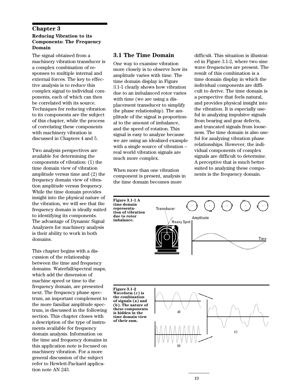### **Chapter 3 Reducing Vibration to its Components: The Frequency Domain**

The signal obtained from a machinery vibration transducer is a complex combination of responses to multiple internal and external forces. The key to effective analysis is to reduce this complex signal to individual components, each of which can then be correlated with its source. Techniques for reducing vibration to its components are the subject of this chapter, while the process of correlating these components with machinery vibration is discussed in Chapters 4 and 5.

Two analysis perspectives are available for determining the components of vibration: (1) the time domain view of vibration amplitude versus time and (2) the frequency domain view of vibration amplitude versus frequency. While the time domain provides insight into the physical nature of the vibration, we will see that the frequency domain is ideally suited to identifying its components. The advantage of Dynamic Signal Analyzers for machinery analysis is their ability to work in both domains.

This chapter begins with a discussion of the relationship between the time and frequency domains. Waterfall/spectral maps, which add the dimension of machine speed or time to the frequency domain, are presented next. The frequency phase spectrum, an important complement to the more familiar amplitude spectrum, is discussed in the following section. This chapter closes with a description of the type of instruments available for frequency domain analysis. Information on the time and frequency domains in this application note is focused on machinery vibration. For a more general discussion of the subject refer to Hewlett-Packard application note AN 243.

### **3.1 The Time Domain**

One way to examine vibration more closely is to observe how its amplitude varies with time. The time domain display in Figure 3.1-1 clearly shows how vibration due to an imbalanced rotor varies with time (we are using a displacement transducer to simplify the phase relationship). The amplitude of the signal is proportional to the amount of imbalance, and the speed of rotation. This signal is easy to analyze because we are using an idealized example with a single source of vibration – real world vibration signals are much more complex.

When more than one vibration component is present, analysis in the time domain becomes more

difficult. This situation is illustrated in Figure 3.1-2, where two sine wave frequencies are present. The result of this combination is a time domain display in which the individual components are difficult to derive. The time domain is a perspective that feels natural, and provides physical insight into the vibration. It is especially useful in analyzing impulsive signals from bearing and gear defects, and truncated signals from looseness. The time domain is also useful for analyzing vibration phase relationships. However, the individual components of complex signals are difficult to determine. A perceptive that is much better suited to analyzing these components is the frequency domain.



**Waveform (c) is the combination of signals (a) and (b). The nature of these components is hidden in the time domain view of their sum.**

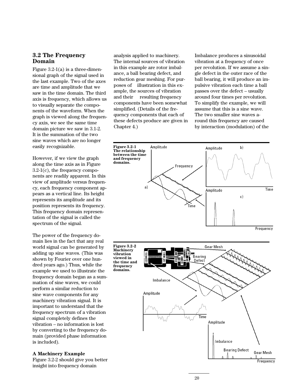### **3.2 The Frequency Domain**

Figure  $3.2-1(a)$  is a three-dimensional graph of the signal used in the last example. Two of the axes are time and amplitude that we saw in the time domain. The third axis is frequency, which allows us to visually separate the components of the waveform. When the graph is viewed along the frequency axis, we see the same time domain picture we saw in 3.1-2. It is the summation of the two sine waves which are no longer easily recognizable.

However, if we view the graph along the time axis as in Figure 3.2-1(c), the frequency components are readily apparent. In this view of amplitude versus frequency, each frequency component appears as a vertical line. Its height represents its amplitude and its position represents its frequency. This frequency domain representation of the signal is called the spectrum of the signal.

The power of the frequency domain lies in the fact that any real world signal can be generated by adding up sine waves. (This was shown by Fourier over one hundred years ago.) Thus, while the example we used to illustrate the frequency domain began as a summation of sine waves, we could perform a similar reduction to sine wave components for any machinery vibration signal. It is important to understand that the frequency spectrum of a vibration signal completely defines the vibration – no information is lost by converting to the frequency domain (provided phase information is included).

#### **A Machinery Example**

Figure 3.2-2 should give you better insight into frequency domain

analysis applied to machinery. The internal sources of vibration in this example are rotor imbalance, a ball bearing defect, and reduction gear meshing. For purposes of illustration in this example, the sources of vibration and their resulting frequency components have been somewhat simplified. (Details of the frequency components that each of these defects produce are given in Chapter 4.)

Imbalance produces a sinusoidal vibration at a frequency of once per revolution. If we assume a single defect in the outer race of the ball bearing, it will produce an impulsive vibration each time a ball passes over the defect – usually around four times per revolution. To simplify the example, we will assume that this is a sine wave. The two smaller sine waves around this frequency are caused by interaction (modulation) of the

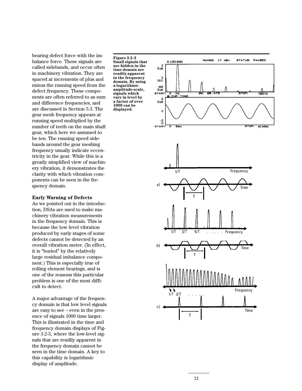bearing defect force with the imbalance force. These signals are called sidebands, and occur often in machinery vibration. They are spaced at increments of plus and minus the running speed from the defect frequency. These components are often referred to as sum and difference frequencies, and are discussed in Section 5.3. The gear mesh frequency appears at running speed multiplied by the number of teeth on the main shaft gear, which here we assumed to be ten. The running speed sidebands around the gear meshing frequency usually indicate eccentricity in the gear. While this is a greatly simplified view of machinery vibration, it demonstrates the clarity with which vibration components can be seen in the frequency domain.

#### **Early Warning of Defects**

As we pointed out in the introduction, DSAs are used to make machinery vibration measurements in the frequency domain. This is because the low level vibration produced by early stages of some defects cannot be detected by an overall vibration meter. (In effect, it is "buried" by the relatively large residual imbalance component.) This is especially true of rolling element bearings, and is one of the reasons this particular problem is one of the most difficult to detect.

A major advantage of the frequency domain is that low level signals are easy to see – even in the presence of signals 1000 time larger. This is illustrated in the time and frequency domain displays of Figure 3.2-3, where the low-level signals that are readily apparent in the frequency domain cannot be seen in the time domain. A key to this capability is logarithmic display of amplitude.

**Figure 3.2-3 Small signals that are hidden in the time domain are readily apparent in the frequency domain. By using a logarithmic amplitude scale, signals which vary in level by a factor of over 1000 can be displayed.**

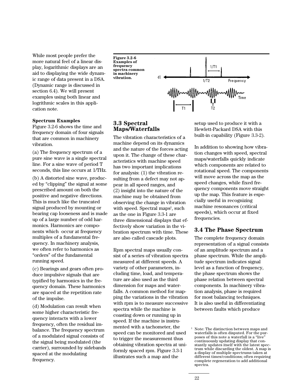While most people prefer the more natural feel of a linear display, logarithmic displays are an aid to displaying the wide dynamic range of data present in a DSA. (Dynamic range is discussed in section 6.4). We will present examples using both linear and logrithmic scales in this application note.

### **Spectrum Examples**

Figure 3.2-6 shows the time and frequency domain of four signals that are common in machinery vibration.

(a) The frequency spectrum of a pure sine wave is a single spectral line. For a sine wave of period T seconds, this line occurs at 1/THz.

(b) A distorted sine wave, produced by "clipping" the signal at some prescribed amount on both the positive and negative directions. This is much like the truncated signal produced by mounting or bearing cap looseness and is made up of a large number of odd harmonics. Harmonics are components which occur at frequency multiples of a fundamental frequency. In machinery analysis, we often refer to harmonics as "orders" of the fundamental running speed.

(c) Bearings and gears often produce impulsive signals that are typified by harmonics in the frequency domain. These harmonics are spaced at the repetition rate of the impulse.

(d) Modulation can result when some higher characteristic frequency interacts with a lower frequency, often the residual imbalance. The frequency spectrum of a modulated signal consists of the signal being modulated (the carrier), surrounded by sidebands spaced at the modulating frequency.

**Figure 3.2-6 Examples of frequency spectra common in machinery vibration.**



### **3.3 Spectral Maps/Waterfalls**

The vibration characteristics of a machine depend on its dynamics and the nature of the forces acting upon it. The change of these characteristics with machine speed has two important implications for analysis: (1) the vibration resulting from a defect may not appear in all speed ranges, and (2) insight into the nature of the machine may be obtained from observing the change in vibration with speed. Spectral maps<sup>1</sup>, such as the one in Figure 3.3-1 are three dimensional displays that effectively show variation in the vibration spectrum with time. These are also called cascade plots.

Rpm spectral maps usually consist of a series of vibration spectra measured at different speeds. A variety of other parameters, including time, load, and temperature are also used as the third dimension for maps and waterfalls. A common method for mapping the variations in the vibration with rpm is to measure successive spectra while the machine is coasting down or running up in speed. If the machine is instrumented with a tachometer, the speed can be monitored and used to trigger the measurement thus obtaining vibration spectra at uniformly spaced rpm. Figure 3.3-1 illustrates such a map and the

setup used to produce it with a Hewlett-Packard DSA with this built-in capability (Figure 3.3-2).

In addition to showing how vibration changes with speed, spectral maps/waterfalls quickly indicate which components are related to rotational speed. The components will move across the map as the speed changes, while fixed frequency components move straight up the map. This feature is especially useful in recognizing machine resonances (critical speeds), which occur at fixed frequencies.

### **3.4 The Phase Spectrum**

The complete frequency domain representation of a signal consists of an amplitude spectrum and a phase spectrum. While the amplitude spectrum indicates signal level as a function of frequency, the phase spectrum shows the phase relation between spectral components. In machinery vibration analysis, phase is required for most balancing techniques. It is also useful in differentiating between faults which produce

<sup>&</sup>lt;sup>1</sup> Note: The distinction between maps and waterfalls is often disputed. For the purposes of this note a waterfall is a "live" continuously updating display that constantly updates itself with the latest spectrum while discarding the oldest. A map is a display of multiple spectrums taken at different times/conditions; often requiring complete regeneration to add additional spectra.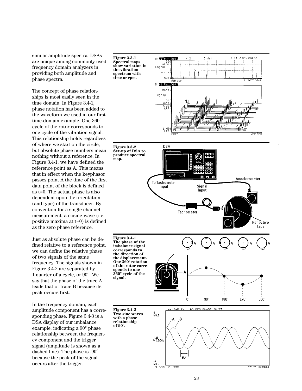similar amplitude spectra. DSAs are unique among commonly used frequency domain analyzers in providing both amplitude and phase spectra.

The concept of phase relationships is most easily seen in the time domain. In Figure 3.4-1, phase notation has been added to the waveform we used in our first time-domain example. One 360° cycle of the rotor corresponds to one cycle of the vibration signal. This relationship holds regardless of where we start on the circle, but absolute phase numbers mean nothing without a reference. In Figure 3.4-1, we have defined the reference point as A. This means that in effect when the keyphasor passes point A the time of the first data point of the block is defined as t=0. The actual phase is also dependent upon the orientation (and type) of the transducer. By convention for a single-channel measurement, a cosine wave (i.e. positive maxima at t=0) is defined as the zero phase reference.

Just as absolute phase can be defined relative to a reference point, we can define the relative phase of two signals of the same frequency. The signals shown in Figure 3.4-2 are separated by 1 quarter of a cycle, or 90°. We say that the phase of the trace A leads that of trace B because its peak occurs first.

In the frequency domain, each amplitude component has a corresponding phase. Figure 3.4-3 is a DSA display of our imbalance example, indicating a 90° phase relationship between the frequency component and the trigger signal (amplitude is shown as a dashed line). The phase is -90° because the peak of the signal occurs after the trigger.



 $80 \text{ mS}$ ec

 $90$ 

.5<br>MILS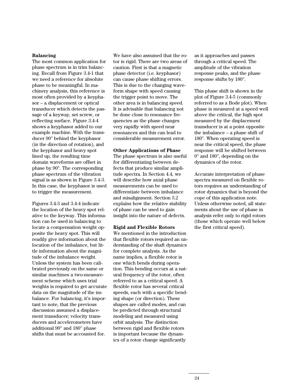#### **Balancing**

The most common application for phase spectrum is in trim balancing. Recall from Figure 3.4-1 that we need a reference for absolute phase to be meaningful. In machinery analysis, this reference is most often provided by a keyphasor – a displacement or optical transducer which detects the passage of a keyway, set screw, or reflecting surface. Figure 3.4-4 shows a keyphasor added to our example machine. With the transducer 90° behind the keyphasor (in the direction of rotation), and the keyphasor and heavy spot lined up, the resulting time domain waveforms are offset in phase by 90°. The corresponding phase spectrum of the vibration signal is as shown in Figure 3.4-3. In this case, the keyphasor is used to trigger the measurement.

Figures 3.4-3 and 3.4-4 indicate the location of the heavy spot relative to the keyway. This information can be used in balancing to locate a compensation weight opposite the heavy spot. This will readily give information about the location of the imbalance, but little information about the magnitude of the imbalance weight. Unless the system has been calibrated previously on the same or similar machines a two-measurement scheme which uses trial weights is required to get accurate data on the magnitude of the imbalance. For balancing, it's important to note, that the previous discussion assumed a displacement transducer; velocity transducers and accelerometers have additional 90° and 180° phase shifts that must be accounted for.

We have also assumed that the rotor is rigid. There are two areas of caution. First is that a magnetic phase detector (i.e. keyphasor) can cause phase shifting errors. This is due to the changing waveform shape with speed causing the trigger point to move. The other area is in balancing speed. It is advisable that balancing not be done close to resonance frequencies as the phase changes very rapidly with speed near resonances and this can lead to considerable measurement error.

#### **Other Applications of Phase**

The phase spectrum is also useful for differentiating between defects that produce similar amplitude spectra. In Section 4.4, we will describe how axial phase measurements can be used to differentiate between imbalance and misalignment. Section 5.2 explains how the relative stability of phase can be used to gain insight into the nature of defects.

### **Rigid and Flexible Rotors**

We mentioned in the introduction that flexible rotors required an understanding of the shaft dynamics for complete analysis. As the name implies, a flexible rotor is one which bends during operation. This bending occurs at a natural frequency of the rotor, often referred to as a critical speed. A flexible rotor has several critical speeds, each with a specific bending shape (or direction). These shapes are called modes, and can be predicted through structural modeling and measured using orbit analysis. The distinction between rigid and flexible rotors is important because the dynamics of a rotor change significantly

as it approaches and passes through a critical speed. The amplitude of the vibration response peaks, and the phase response shifts by 180°.

This phase shift is shown in the plot of Figure 3.4-5 (commonly referred to as a Bode plot). When phase is measured at a speed well above the critical, the high spot measured by the displacement transducer is at a point opposite the imbalance – a phase shift of 180°. When operating speed is near the critical speed, the phase response will be shifted between 0° and 180°, depending on the dynamics of the rotor.

Accurate interpretation of phase spectra measured on flexible rotors requires an understanding of rotor dynamics that is beyond the cope of this application note. Unless otherwise noted, all statements about the use of phase in analysis refer only to rigid rotors (those which operate well below the first critical speed).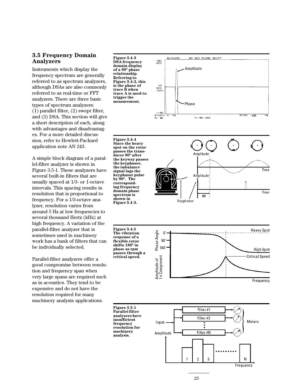### **3.5 Frequency Domain Analyzers**

Instruments which display the frequency spectrum are generally referred to as spectrum analyzers, although DSAs are also commonly referred to as real-time or FFT analyzers. There are three basic types of spectrum analyzers: (1) parallel filter, (2) swept filter, and (3) DSA. This section will give a short description of each, along with advantages and disadvantages. For a more detailed discussion, refer to Hewlett-Packard application note AN 243.

A simple block diagram of a parallel-filter analyzer is shown in Figure 3.5-1. These analyzers have several built-in filters that are usually spaced at 1/3- or 1-octave intervals. This spacing results in resolution that is proportional to frequency. For a 1/3-octave analyzer, resolution varies from around 5 Hz at low frequencies to several thousand Hertz (kHz) at high frequency. A variation of the parallel-filter analyzer that is sometimes used in machinery work has a bank of filters that can be individually selected.

Parallel-filter analyzers offer a good compromise between resolution and frequency span when very large spans are required such as in acoustics. They tend to be expensive and do not have the resolution required for many machinery analysis applications.



**Figure 3.4-4 Since the heavy spot on the rotor passes the transducer 90º after the keyway passes the keyphasor, the imbalance signal lags the keyphasor pulse by 90º. The corresponding frequency domain phase spectrum is shown in Figure 3.4-3.**

00 DEC PHASE SHIFT **B. PHASE** 180<br>DEG Amplitude  $\begin{array}{c} 45 \\ \text{DEG} \\ \text{VDIV} \end{array}$ Phase -1BD<br>START<br>XL 44 STOP. 400  $Y_{\bullet}$  -90 DEG



**Figure 3.4-5 The vibration response of a flexible rotor shifts 180º in phase as rpm passes through a critical speed.**



**Figure 3.5-1 Parallel filter analyzers have insufficient frequency resolution for machinery analysis.**

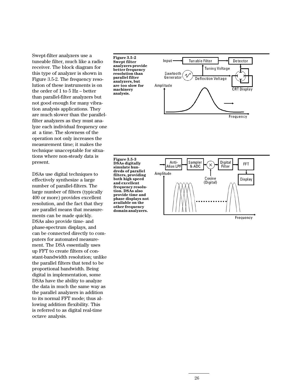Swept-filter analyzers use a tuneable filter, much like a radio receiver. The block diagram for this type of analyzer is shown in Figure 3.5-2. The frequency resolution of these instruments is on the order of 1 to 5 Hz – better than parallel-filter analyzers but not good enough for many vibration analysis applications. They are much slower than the parallelfilter analyzers as they must analyze each individual frequency one at a time. The slowness of the operation not only increases the measurement time; it makes the technique unacceptable for situations where non-steady data is present.

DSAs use digital techniques to effectively synthesize a large number of parallel-filters. The large number of filters (typically 400 or more) provides excellent resolution, and the fact that they are parallel means that measurements can be made quickly. DSAs also provide time- and phase-spectrum displays, and can be connected directly to computers for automated measurement. The DSA essentially uses up FFT to create filters of constant-bandwidth resolution; unlike the parallel filters that tend to be proportional bandwidth. Being digital in implementation, some DSAs have the ability to analyze the data in much the same way as the parallel analyzers in addition to its normal FFT mode; thus allowing addition flexibility. This is referred to as digital real-time octave analysis.

**Figure 3.5-2 Swept filter analyzers provide better frequency resolution than parallel filter analyzers, but are too slow for machinery analysis.**



**Figure 3.5-3 DSAs digitally simulate hundreds of parallel filters, providing both high speed and excellent frequency resolution. DSAs also provide time and phase displays not available on the other frequency domain analyzers.**

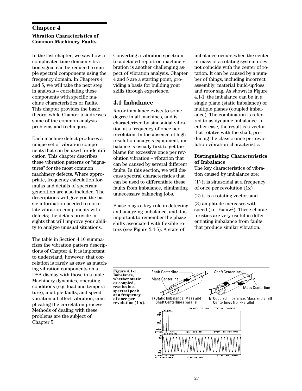### **Chapter 4 Vibration Characteristics of Common Machinery Faults**

In the last chapter, we saw how a complicated time domain vibration signal can be reduced to simple spectral components using the frequency domain. In Chapters 4 and 5, we will take the next step in analysis – correlating these components with specific machine characteristics or faults. This chapter provides the basic theory, while Chapter 5 addresses some of the common analysis problems and techniques.

Each machine defect produces a unique set of vibration components that can be used for identification. This chapter describes these vibration patterns or "signatures" for the most common machinery defects. Where appropriate, frequency calculation formulas and details of spectrum generation are also included. The descriptions will give you the basic information needed to correlate vibration components with defects; the details provide insights that will improve your ability to analyze unusual situations.

The table in Section 4.10 summarizes the vibration pattern descriptions of Chapter 4. It is important to understand, however, that correlation is rarely as easy as matching vibration components on a DSA display with those in a table. Machinery dynamics, operating conditions (e.g. load and temperature), multiple faults, and speed variation all affect vibration, complicating the correlation process. Methods of dealing with these problems are the subject of Chapter 5.

Converting a vibration spectrum to a detailed report on machine vibration is another challenging aspect of vibration analysis. Chapter 4 and 5 are a starting point, providing a basis for building your skills through experience.

### **4.1 Imbalance**

Rotor imbalance exists to some degree in all machines, and is characterized by sinusoidal vibration at a frequency of once per revolution. In the absence of high resolution analysis equipment, imbalance is usually first to get the blame for excessive once per revolution vibration – vibration that can be caused by several different faults. In this section, we will discuss spectral characteristics that can be used to differentiate these faults from imbalance, eliminating unnecessary balancing jobs.

Phase plays a key role in detecting and analyzing imbalance, and it is important to remember the phase shifts associated with flexible rotors (see Figure 3.4-5). A state of

imbalance occurs when the center of mass of a rotating system does not coincide with the center of rotation. It can be caused by a number of things, including incorrect assembly, material build-up/loss, and rotor sag. As shown in Figure 4.1-1, the imbalance can be in a single plane (static imbalance) or multiple planes (coupled imbalance). The combination is referred to as dynamic imbalance. In either case, the result is a vector that rotates with the shaft, producing the classic once per revolution vibration characteristic.

### **Distinguishing Characteristics of Imbalance**

The key characteristics of vibration caused by imbalance are:

(1) it is sinusoidal at a frequency of once per revolution (1x)

(2) it is a rotating vector, and

,

(3) amplitude increases with speed (i.e. F=mw<sup>2</sup>). These characteristics are very useful in differentiating imbalance from faults that produce similar vibration.



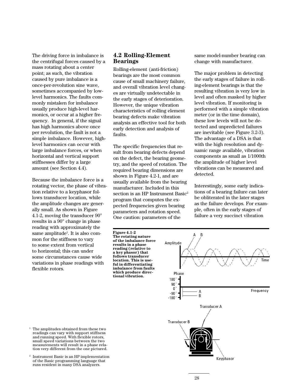The driving force in imbalance is the centrifugal forces caused by a mass rotating about a center point; as such, the vibration caused by pure imbalance is a once-per-revolution sine wave, sometimes accompanied by lowlevel harmonics. The faults commonly mistaken for imbalance usually produce high-level harmonics, or occur at a higher frequency. In general, if the signal has high harmonics above once per revolution, the fault is not a simple imbalance. However, highlevel harmonics can occur with large imbalance forces, or when horizontal and vertical support stiffnesses differ by a large amount (see Section 4.4).

Because the imbalance force is a rotating vector, the phase of vibration relative to a keyphasor follows transducer location, while the amplitude changes are generally small. As shown in Figure 4.1-2, moving the transducer 90° results in a 90° change in phase reading with approximately the same amplitude<sup>1</sup>. It is also common for the stiffness to vary to some extent from vertical to horizontal; this can under some circumstances cause wide variations in phase readings with flexible rotors.

## **4.2 Rolling-Element Bearings**

Rolling-element (anti-friction) bearings are the most common cause of small machinery failure, and overall vibration level changes are virtually undetectable in the early stages of deterioration. However, the unique vibration characteristics of rolling element bearing defects make vibration analysis an effective tool for both early detection and analysis of faults.

The specific frequencies that result from bearing defects depend on the defect, the bearing geometry, and the speed of rotation. The required bearing dimensions are shown in Figure 4.2-1, and are usually available from the bearing manufacturer. Included in this section is an HP Instrument Basic $^2$ program that computes the expected frequencies given bearing parameters and rotation speed. One caution: parameters of the

**Figure 4.1-2 The rotating nature of the imbalance force results in a phase reading (relative to a key phasor) that follows transducer location. This is useful in differentiating imbalance from faults which produce directional vibration.**

same model-number bearing can change with manufacturer.

The major problem in detecting the early stages of failure in rolling-element bearings is that the resulting vibration is very low in level and often masked by higher level vibration. If monitoring is performed with a simple vibration meter (or in the time domain), these low levels will not be detected and unpredicted failures are inevitable (see Figure 3.2-3). The advantage of a DSA is that with the high resolution and dynamic range available, vibration components as small as 1/1000th the amplitude of higher level vibrations can be measured and detected.

Interestingly, some early indications of a bearing failure can later be obliterated in the later stages as the failure develops. For example, often in the early stages of failure a very succinct vibration



- $^{\rm 1}$  The amplitudes obtained from these two readings can vary with support stiffness and running speed. With flexible rotors, small speed variations between the two measurements will result in a phase relation very different from the one pictured.
- <sup>2</sup> Instrument Basic is an HP implementation of the Basic programming language that runs resident in many DSA analyzers.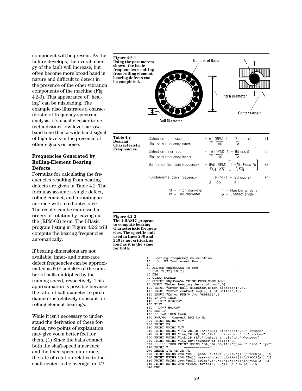component will be present. As the failure develops, the overall energy of the fault will increase, but often become more broad band in nature and difficult to detect in the presence of the other vibration components of the machine (Fig 4.2-3). This appearance of "healing" can be misleading. The example also illustrates a characteristic of frequency-spectrum analysis: it's usually easier to detect a distinct low-level narrowband tone than a wide-band signal of high levels in the presence of other signals or noise.

### **Frequencies Generated by Rolling-Element Bearing Defects**

Formulas for calculating the frequencies resulting from bearing defects are given in Table 4.2. The formulas assume a single defect, rolling contact, and a rotating inner race with fixed outer race. The results can be expressed in orders of rotation by leaving out the (RPM/60) term. The I-Basic program listing in Figure 4.2-2 will compute the bearing frequencies automatically.

If bearing dimensions are not available, inner- and outer-race defect frequencies can be approximated as 60% and 40% of the number of balls multiplied by the running speed, respectively. This approximation is possible because the ratio of ball diameter to pitch diameter is relatively constant for rolling-element bearings.

While it isn't necessary to understand the derivation of these formulas, two points of explanation may give you a better feel for them. (1) Since the balls contact both the shaft-speed inner race and the fixed speed outer race, the rate of rotation relative to the shaft center is the average, or 1/2



```
FRINT USING "16A, DD"; "Number Of Daffs:", N<br>TF F>1 THEN PRINT USING "6A, 5DZ.DD, 4A"; "Speed:", F*60, " rpm"<br>PRINT "
280 PRINT
290 IMAGE 17A, 4D. 2D, 7A
230 PRINT USING 290; "Ball pass--outer:", F/2*N*(1-B/P*COS(A)), L$<br>310 PRINT USING 290; "Ball pass--inner:", F/2*N*(1+B/P*COS(A)), L$<br>320 PRINT USING 290; "Ball spin:", F/2*N*(1+B/P*COS(A)), L$<br>330 PRINT USING 290; "Fund. train:", F/2*(1-B/P*C
```
340 END

```
29
```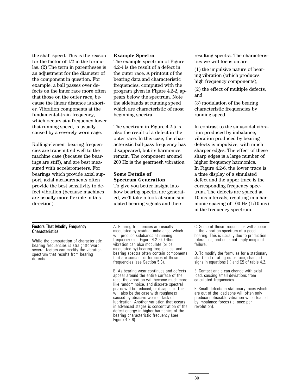the shaft speed. This is the reason for the factor of 1/2 in the formulas. (2) The term in parentheses is an adjustment for the diameter of the component in question. For example, a ball passes over defects on the inner race more often that those on the outer race, because the linear distance is shorter. Vibration components at the fundamental-train frequency, which occurs at a frequency lower that running speed, is usually caused by a severely worn cage.

Rolling-element bearing frequencies are transmitted well to the machine case (because the bearings are stiff), and are best measured with accelerometers. For bearings which provide axial support, axial measurements often provide the best sensitivity to defect vibration (because machines are usually more flexible in this direction).

#### **Example Spectra**

The example spectrum of Figure 4.2-4 is the result of a defect in the outer race. A printout of the bearing data and characteristic frequencies, computed with the program given in Figure 4.2-2, appears below the spectrum. Note the sidebands at running speed which are characteristic of most beginning spectra.

The spectrum in Figure 4.2-5 is also the result of a defect in the outer race. In this case, the characteristic ball-pass frequency has disappeared, but its harmonics remain. The component around 200 Hz is the gearmesh vibration.

### **Some Details of Spectrum Generation**

To give you better insight into how bearing spectra are generated, we'll take a look at some simulated bearing signals and their

resulting spectra. The characteristics we will focus on are:

(1) the impulsive nature of bearing vibration (which produces high frequency components),

(2) the effect of multiple defects, and

(3) modulation of the bearing characteristic frequencies by running speed.

In contrast to the sinusoidal vibration produced by imbalance, vibration produced by bearing defects is impulsive, with much sharper edges. The effect of these sharp edges is a large number of higher frequency harmonics. In Figure 4.2-6, the lower trace is a time display of a simulated defect and the upper trace is the corresponding frequency spectrum. The defects are spaced at 10 ms intervals, resulting in a harmonic spacing of 100 Hz (1/10 ms) in the frequency spectrum.

#### Factors That Modify Frequency **Characteristics**

While the computation of characteristic bearing frequencies is straightforward, several factors can modify the vibration spectrum that results from bearing defects.

A. Bearing frequencies are usually modulated by residual imbalance, which will produce sidebands at running frequency (see Figure 4.2-9). Other vibration can also modulate (or be modulated by) bearing frequencies, and bearing spectra often contain components that are sums or differences of these frequencies (see Section 5.3).

B. As bearing wear continues and defects appear around the entire surface of the race, the vibration will become much more like random noise, and discrete spectral peaks will be reduced, or disappear. This will also be the case with roughness caused by abrasive wear or lack of lubrication. Another variation that occurs in advanced stages is concentration of the defect energy in higher harmonics of the bearing characteristic frequency (see Figure 4.2-6).

C. Some of these frequencies will appear in the vibration spectrum of a good bearing. This is usually due to production tolerances, and does not imply incipient failure.

D. To modify the formulas for a stationary shaft and rotating outer race, change the signs in equations (1) and (2) of table 4.2.

E. Contact angle can change with axial load, causing small deviations from calculated frequencies.

F. Small defects in stationary races which are out of the load zone will often only produce noticeable vibration when loaded by imbalance forces (ie. once per revolution).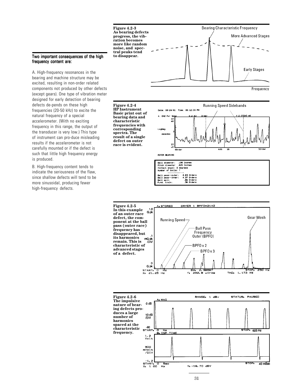#### Two important consequences of the high frequency content are:

A. High-frequency resonances in the bearing and machine structure may be excited, resulting in non-order related components not produced by other defects (except gears). One type of vibration meter designed for early detection of bearing defects de-pends on these high frequencies (20-50 kHz) to excite the natural frequency of a special accelerometer. (With no exciting frequency in this range, the output of the transducer is very low.) This type of instrument can pro-duce misleading results if the accelerometer is not carefully mounted or if the defect is such that little high frequency energy is produced.

B. High-frequency content tends to indicate the seriousness of the flaw, since shallow defects will tend to be more sinusoidal, producing fewer high-frequency defects.



**Figure 4.2-4 HP Instrument Basic print out of bearing data and characteristic frequencies with corresponding spectra. The result of a single defect on outer race is evident.**







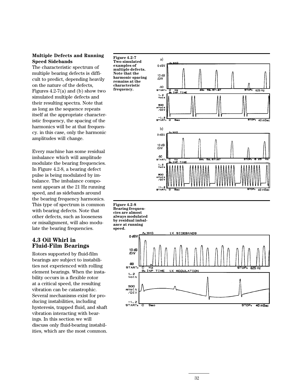### **Multiple Defects and Running Speed Sidebands**

The characteristic spectrum of multiple bearing defects is difficult to predict, depending heavily on the nature of the defects, Figures  $4.2-7(a)$  and (b) show two simulated multiple defects and their resulting spectra. Note that as long as the sequence repeats itself at the appropriate characteristic frequency, the spacing of the harmonics will be at that frequency. in this case, only the harmonic amplitudes will change.

Every machine has some residual imbalance which will amplitude modulate the bearing frequencies. In Figure 4.2-8, a bearing defect pulse is being modulated by imbalance. The imbalance component appears at the 21 Hz running speed, and as sidebands around the bearing frequency harmonics. This type of spectrum is common with bearing defects. Note that other defects, such as looseness or misalignment, will also modulate the bearing frequencies.

### **4.3 Oil Whirl in Fluid-Film Bearings**

Rotors supported by fluid-film bearings are subject to instabilities not experienced with rolling element bearings. When the instability occurs in a flexible rotor at a critical speed, the resulting vibration can be catastrophic. Several mechanisms exist for producing instabilities, including hysteresis, trapped fluid, and shaft vibration interacting with bearings. In this section we will discuss only fluid-bearing instabilities, which are the most common.

**Figure 4.2-7 Two simulated examples of multiple defects. Note that the harmonic spacing remains at the characteristic frequency.**



**Figure 4.2-8 Bearing frequencies are almost always modulated by residual imbalance at running speed.**

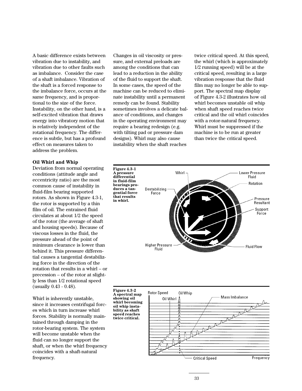A basic difference exists between vibration due to instability, and vibration due to other faults such as imbalance. Consider the case of a shaft imbalance. Vibration of the shaft is a forced response to the imbalance force, occurs at the same frequency, and is proportional to the size of the force. Instability, on the other hand, is a self-excited vibration that draws energy into vibratory motion that is relatively independent of the rotational frequency. The difference is subtle, but has a profound effect on measures taken to address the problem.

#### **Oil Whirl and Whip**

Deviation from normal operating conditions (attitude angle and eccentricity ratio) are the most common cause of instability in fluid-film bearing supported rotors. As shown in Figure 4.3-1, the rotor is supported by a thin film of oil. The entrained fluid circulates at about 1/2 the speed of the rotor (the average of shaft and housing speeds). Because of viscous losses in the fluid, the pressure ahead of the point of minimum clearance is lower than behind it. This pressure differential causes a tangential destabilizing force in the direction of the rotation that results in a whirl – or precession – of the rotor at slightly less than 1/2 rotational speed (usually 0.43 - 0.48).

Whirl is inherently unstable, since it increases centrifugal forces which in turn increase whirl forces. Stability is normally maintained through damping in the rotor-bearing system. The system will become unstable when the fluid can no longer support the shaft, or when the whirl frequency coincides with a shaft-natural frequency.

Changes in oil viscosity or pressure, and external preloads are among the conditions that can lead to a reduction in the ability of the fluid to support the shaft. In some cases, the speed of the machine can be reduced to eliminate instability until a permanent remedy can be found. Stability sometimes involves a delicate balance of conditions, and changes in the operating environment may require a bearing redesign (e.g. with tilting pad or pressure dam designs). Whirl may also cause instability when the shaft reaches

twice critical speed. At this speed, the whirl (which is approximately 1/2 running speed) will be at the critical speed, resulting in a large vibration response that the fluid film may no longer be able to support. The spectral map display of Figure 4.3-2 illustrates how oil whirl becomes unstable oil whip when shaft speed reaches twice critical and the oil whirl coincides with a rotor-natural frequency. Whirl must be suppressed if the machine is to be run at greater than twice the critical speed.



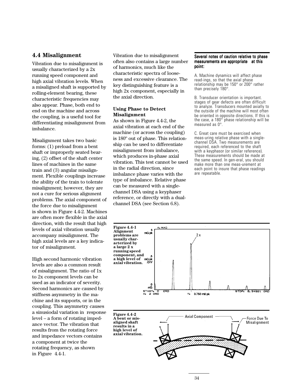### **4.4 Misalignment**

Vibration due to misalignment is usually characterized by a 2x running speed component and high axial vibration levels. When a misaligned shaft is supported by rolling-element bearing, these characteristic frequencies may also appear. Phase, both end to end on the machine and across the coupling, is a useful tool for differentiating misalignment from imbalance.

Misalignment takes two basic forms: (1) preload from a bent shaft or improperly seated bearing, (2) offset of the shaft center lines of machines in the same train and (3) angular misalignment. Flexible couplings increase the ability of the train to tolerate misalignment; however, they are not a cure for serious alignment problems. The axial component of the force due to misalignment is shown in Figure 4.4-2. Machines are often more flexible in the axial direction, with the result that high levels of axial vibration usually accompany misalignment. The high axial levels are a key indicator of misalignment.

High second harmonic vibration levels are also a common result of misalignment. The ratio of 1x to 2x component levels can be used as an indicator of severity. Second harmonics are caused by stiffness asymmetry in the machine and its supports, or in the coupling. This asymmetry causes a sinusiodal variation in response level – a form of rotating impedance vector. The vibration that results from the rotating force and impedance vectors contains a component at twice the rotating frequency, as shown in Figure 4.4-1.

Vibration due to misalignment often also contains a large number of harmonics, much like the characteristic spectra of looseness and excessive clearance. The key distinguishing feature is a high 2x component, especially in the axial direction.

#### **Using Phase to Detect Misalignment**

As shown in Figure 4.4-2, the axial vibration at each end of the machine (or across the coupling) is 180º out of phase. This relationship can be used to differentiate misalignment from imbalance, which produces in-phase axial vibration. This test cannot be used in the radial direction, since imbalance phase varies with the type of imbalance. Relative phase can be measured with a singlechannel DSA using a keyphaser reference, or directly with a dualchannel DSA (see Section 6.8).

#### Several notes of caution relative to phase measurements are appropriate at this point:

A. Machine dynamics will affect phase read-ings, so that the axial phase relationship may be 150° or 200° rather than precisely 180°.

B. Transducer orientation is important. stages of gear defects are often difficult to analyze. Transducers mounted axially to the outside of the machine will most often be oriented in opposite directions. If this is the case, a  $180^\circ$  phase relationship will be measured as 0°.

C. Great care must be exercised when meas-uring relative phase with a singlechannel DSA. Two measurements are required, each referenced to the shaft with a keyphasor (or similar reference). These measurements should be made at the same speed. In gen-eral, you should make more than one meas-urement at each point to insure that phase readings are repeatable.



**Figure 4.4-2 A bent or misaligned shaft results in a high level of axial vibration.**

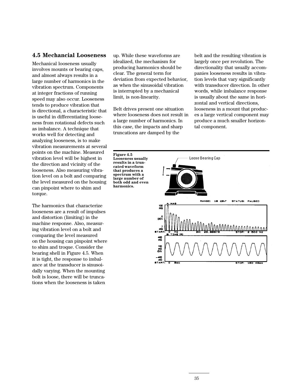### **4.5 Mechancial Looseness**

Mechanical looseness usually involves mounts or bearing caps, and almost always results in a large number of harmonics in the vibration spectrum. Components at integer fractions of running speed may also occur. Looseness tends to produce vibration that is directional, a characteristic that is useful in differentiating looseness from rotational defects such as imbalance. A technique that works well for detecting and analyzing looseness, is to make vibration measurements at several points on the machine. Measured vibration level will be highest in the direction and vicinity of the looseness. Also measuring vibration level on a bolt and comparing the level measured on the housing can pinpoint where to shim and torque.

The harmonics that characterize looseness are a result of impulses and distortion (limiting) in the machine response. Also, measuring vibration level on a bolt and comparing the level measured on the housing can pinpoint where to shim and troque. Consider the bearing shell in Figure 4.5. When it is tight, the response to imbalance at the transducer is sinusoidally varying. When the mounting bolt is loose, there will be truncations when the looseness is taken

up. While these waveforms are idealized, the mechanism for producing harmonics should be clear. The general term for deviation from expected behavior, as when the sinusoidal vibration is interrupted by a mechanical limit, is non-linearity.

Belt drives present one situation where looseness does not result in a large number of harmonics. In this case, the impacts and sharp truncations are damped by the

**Figure 4.5**

**harmonics.**

belt and the resulting vibration is largely once per revolution. The directionality that usually accompanies looseness results in vibration levels that vary significantly with transducer direction. In other words, while imbalance response is usually about the same in horizontal and vertical directions, looseness in a mount that produces a large vertical component may produce a much smaller horizontal component.

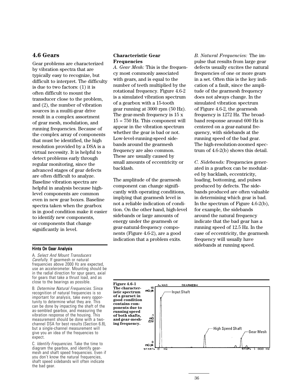### **4.6 Gears**

Gear problems are characterized by vibration spectra that are typically easy to recognize, but difficult to interpret. The difficulty is due to two factors: (1) it is often difficult to mount the transducer close to the problem, and (2), the number of vibration sources in a muilti-gear drive result in a complex assortment of gear mesh, modulation, and running frequencies. Because of the complex array of components that must be identified, the high resolution provided by a DSA is a virtual necessity. It is helpful to detect problems early through regular monitoring, since the advanced stages of gear defects are often difficult to analyze. Baseline vibration spectra are helpful in analysis because highlevel components are common even in new gear boxes. Baseline spectra taken when the gearbox is in good condition make it easier to identify new components, or components that change significantly in level.

#### **Characteristic Gear Frequencies**

*A. Gear Mesh:* This is the frequency most commonly associated with gears, and is equal to the number of teeth multiplied by the rotational frequency. Figure 4.6-2 is a simulated vibration spectrum of a gearbox with a 15-tooth gear running at 3000 rpm (50 Hz). The gear-mesh frequency is 15 x  $15 = 750$  Hz. This component will appear in the vibration spectrum whether the gear is bad or not. Low-level-running-speed sidebands around the gearmesh frequency are also common. These are usually caused by small amounts of eccentricity or backlash.

The amplitude of the gearmesh component can change significantly with operating conditions, implying that gearmesh level is not a reliable indication of condition. On the other hand, high-level sidebands or large amounts of energy under the gearmesh or gear-natural-frequency components (Figure 4.6-2), are a good indication that a problem exits.

*B. Natural Frequencies:* The impulse that results from large gear defects usually excites the natural frequencies of one or more gears in a set. Often this is the key indication of a fault, since the amplitude of the gearmesh frequency does not always change. In the simulated vibration spectrum of Figure 4.6-2, the gearmesh frequency is 1272 Hz. The broadband response around 600 Hz is centered on a gear-natural frequency, with sidebands at the running speed of the bad gear. The high-resolution-zoomed spectrum of 4.6-2(b) shows this detail.

*C. Sidebands:* Frequencies generated in a gearbox can be modulated by backlash, eccentricity, loading, bottoming, and pulses produced by defects. The sidebands produced are often valuable in determining which gear is bad. In the spectrum of Figure 4.6-2(b), for example, the sidebands around the natural frequency indicate that the bad gear has a running speed of 12.5 Hz. In the case of eccentricity, the gearmesh frequency will usually have sidebands at running speed. Hints On Gear Analysis

A. Select And Mount Transducers Carefully. If gearmesh or natural frequencies above 2000 Hz are expected, use an accelerometer. Mounting should be in the radial direction for spur gears, axial for gears that take a thrust load, and as close to the bearings as possible.

B. Determine Natural Frequencies. Since recognition of natural frequencies is so important for analysis, take every opportunity to determine what they are. This can be done by impacting the shaft of the as-sembled gearbox, and measuring the vibration response of the housing. This measurement should be done with a twochannel DSA for best results (Section 6.8), but a single-channel measurement will give you an idea of the frequencies to expect.

C. Identify Frequencies. Take the time to diagram the gearbox, and identify gearmesh and shaft speed frequencies. Even if you don't know the natural frequencies, shaft speed sidebands will often indicate the bad gear.

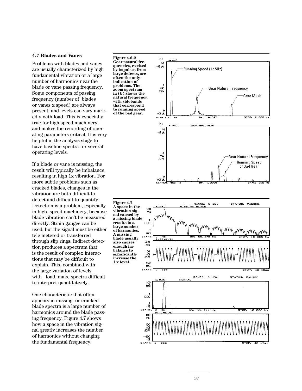#### **4.7 Blades and Vanes**

Problems with blades and vanes are usually characterized by high fundamental vibration or a large number of harmonics near the blade or vane passing frequency. Some components of passing frequency (number of blades or vanes x speed) are always present, and levels can vary markedly with load. This is especially true for high speed machinery, and makes the recording of operating parameters critical. It is very helpful in the analysis stage to have baseline spectra for several operating levels.

If a blade or vane is missing, the result will typically be imbalance, resulting in high 1x vibration. For more subtle problems such as cracked blades, changes in the vibration are both difficult to detect and difficult to quantify. Detection is a problem, especially in high- speed machinery, because blade vibration can't be measured directly. Strain gauges can be used, but the signal must be either tele-metered or transferred through slip rings. Indirect detection produces a spectrum that is the result of complex interactions that may be difficult to explain. This, combined with the large variation of levels with load, make spectra difficult to interpret quantitatively.

One characteristic that often appears in missing- or crackedblade spectra is a large number of harmonics around the blade passing frequency. Figure 4.7 shows how a space in the vibration signal greatly increases the number of harmonics without changing the fundamental frequency.

**Figure 4.6-2 Gear natural frequencies, excited by impulses from large defects, are often the only indication of problems. The zoom spectrum in (b) shows the natural frequency, with sidebands that correspond to running speed of the bad gear.**





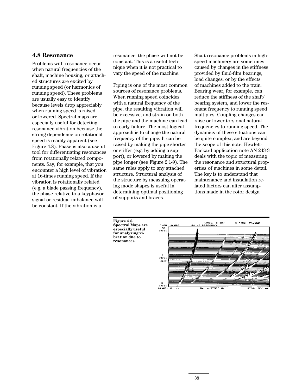### **4.8 Resonance**

Problems with resonance occur when natural frequencies of the shaft, machine housing, or attached structures are excited by running speed (or harmonics of running speed). These problems are usually easy to identify because levels drop appreciably when running speed is raised or lowered. Spectral maps are especially useful for detecting resonance vibration because the strong dependence on rotational speed is readily apparent (see Figure 4.8). Phase is also a useful tool for differentiating resonances from rotationally related components. Say, for example, that you encounter a high level of vibration at 16-times running speed. If the vibration is rotationally related (e.g. a blade passing frequency), the phase relative to a keyphasor signal or residual imbalance will be constant. If the vibration is a

resonance, the phase will not be constant. This is a useful technique when it is not practical to vary the speed of the machine.

Piping is one of the most common sources of resonance problems. When running speed coincides with a natural frequency of the pipe, the resulting vibration will be excessive, and strain on both the pipe and the machine can lead to early failure. The most logical approach is to change the natural frequency of the pipe. It can be raised by making the pipe shorter or stiffer (e.g. by adding a support), or lowered by making the pipe longer (see Figure 2.1-9). The same rules apply to any attached structure. Structural analysis of the structure by measuing operating mode shapes is useful in determining optimal positioning of supports and braces.

Shaft resonance problems in highspeed machinery are sometimes caused by changes in the stiffness provided by fluid-film bearings, load changes, or by the effects of machines added to the train. Bearing wear, for example, can reduce the stiffness of the shaft/ bearing system, and lower the resonant frequency to running speed multiples. Coupling changes can raise or lower torsional natural frequencies to running speed. The dynamics of these situations can be quite complex, and are beyond the scope of this note. Hewlett-Packard application note AN 243-3 deals with the topic of measuring the resonance and structural properties of machines in some detail. The key is to understand that maintenance and installation related factors can alter assumptions made in the rotor design.



**Figure 4.8 Spectral Maps are especially useful for analyzing vibration due to**

**resonances.**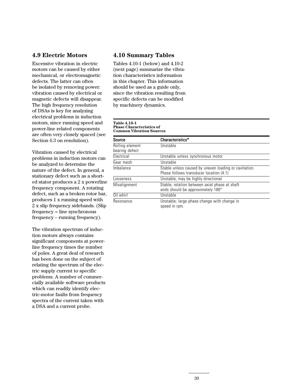### **4.9 Electric Motors**

Excessive vibration in electric motors can be caused by either mechanical, or electromagnetic defects. The latter can often be isolated by removing power: vibration caused by electrical or magnetic defects will disappear. The high frequency resolution of DSAs is key for analyzing electrical problems in induction motors, since running speed and power-line related components are often very closely spaced (see Section 6.3 on resolution).

Vibration caused by electrical problems in induction motors can be analyzed to determine the nature of the defect. In general, a stationary defect such as a shorted stator produces a 2 x powerline frequency component. A rotating defect, such as a broken rotor bar, produces 1 x running speed with 2 x slip frequency sidebands. (Slip frequency = line synchronous frequency – running frequency).

The vibration spectrum of induction motors always contains significant components at powerline frequency times the number of poles. A great deal of research has been done on the subject of relating the spectrum of the electric supply current to specific problems. A number of commercially available software products which can readily identify electric-motor faults from frequency spectra of the current taken with a DSA and a current probe.

### **4.10 Summary Tables**

Tables 4.10-1 (below) and 4.10-2 (next page) summarize the vibration characteristics information in this chapter. This information should be used as a guide only, since the vibration resulting from specific defects can be modified by machinery dynamics.

#### **Table 4.10-1 Phase Characteristics of Common Vibration Sources**

| <b>Source</b>                     | Characteristics*                                                                                 |  |
|-----------------------------------|--------------------------------------------------------------------------------------------------|--|
| Rolling element<br>bearing defect | Unstable                                                                                         |  |
| Electrical                        | Unstable unless synchronous motor                                                                |  |
| Gear mesh                         | Unstable                                                                                         |  |
| Imbalance                         | Stable unless caused by uneven loading or cavitation.<br>Phase follows transducer location (4.1) |  |
| Looseness                         | Unstable; may be highly directional                                                              |  |
| Misalignment                      | Stable; relation between axial phase at shaft<br>ends should be approximately 180°               |  |
| Oil whirl                         | Unstable                                                                                         |  |
| Resonance                         | Unstable; large phase change with change in<br>speed in rpm.                                     |  |